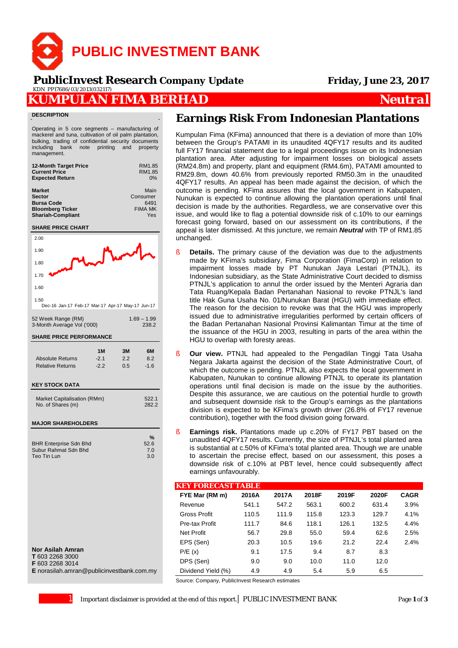

 **PublicInvest Research** *Company Update* **Friday, June 23, 2017**KDN PP17686/03/2013(032117)

## **KUMPULAN FIMA BERHAD** *Neutral*

#### **DESCRIPTION**

Operating in 5 core segments – manufacturing of mackerel and tuna, cultivation of oil palm plantation, bulking, trading of confidential security documents including bank note printing and property management.

| RM1.85<br>RM1.85<br>0%                            |
|---------------------------------------------------|
| Main<br>Consumer<br>6491<br><b>FIMA MK</b><br>Yes |
|                                                   |



#### **Nor Asilah Amran**

**T** 603 2268 3000

**F** 603 2268 3014

**E** norasilah amran@publicinvestbank.com.my

# **Earnings Risk From Indonesian Plantations**

Kumpulan Fima (KFima) announced that there is a deviation of more than 10% between the Group's PATAMI in its unaudited 4QFY17 results and its audited full FY17 financial statement due to a legal proceedings issue on its Indonesian plantation area. After adjusting for impairment losses on biological assets (RM24.8m) and property, plant and equipment (RM4.6m), PATAMI amounted to RM29.8m, down 40.6% from previously reported RM50.3m in the unaudited 4QFY17 results. An appeal has been made against the decision, of which the outcome is pending. KFima assures that the local government in Kabupaten, Nunukan is expected to continue allowing the plantation operations until final decision is made by the authorities. Regardless, we are conservative over this issue, and would like to flag a potential downside risk of c.10% to our earnings forecast going forward, based on our assessment on its contributions, if the appeal is later dismissed. At this juncture, we remain *Neutral* with TP of RM1.85 unchanged.

- **Details.** The primary cause of the deviation was due to the adjustments made by KFima's subsidiary, Fima Corporation (FimaCorp) in relation to impairment losses made by PT Nunukan Jaya Lestari (PTNJL), its Indonesian subsidiary, as the State Administrative Court decided to dismiss PTNJL's application to annul the order issued by the Menteri Agraria dan Tata Ruang/Kepala Badan Pertanahan Nasional to revoke PTNJL's land title Hak Guna Usaha No. 01/Nunukan Barat (HGU) with immediate effect. The reason for the decision to revoke was that the HGU was improperly issued due to administrative irregularities performed by certain officers of the Badan Pertanahan Nasional Provinsi Kalimantan Timur at the time of the issuance of the HGU in 2003, resulting in parts of the area within the HGU to overlap with foresty areas.
- § **Our view.** PTNJL had appealed to the Pengadilan Tinggi Tata Usaha Negara Jakarta against the decision of the State Administrative Court, of which the outcome is pending. PTNJL also expects the local government in Kabupaten, Nunukan to continue allowing PTNJL to operate its plantation operations until final decision is made on the issue by the authorities. Despite this assurance, we are cautious on the potential hurdle to growth and subsequent downside risk to the Group's earnings as the plantations division is expected to be KFima's growth driver (26.8% of FY17 revenue contribution), together with the food division going forward.
- **Earnings risk.** Plantations made up c.20% of FY17 PBT based on the unaudited 4QFY17 results. Currently, the size of PTNJL's total planted area is substantial at c.50% of KFima's total planted area. Though we are unable to ascertain the precise effect, based on our assessment, this poses a downside risk of c.10% at PBT level, hence could subsequently affect earnings unfavourably.

| <b>KEY FORECAST TABLE</b> |       |       |       |       |       |             |
|---------------------------|-------|-------|-------|-------|-------|-------------|
| FYE Mar (RM m)            | 2016A | 2017A | 2018F | 2019F | 2020F | <b>CAGR</b> |
| Revenue                   | 541.1 | 547.2 | 563.1 | 600.2 | 631.4 | 3.9%        |
| Gross Profit              | 110.5 | 111.9 | 115.8 | 123.3 | 129.7 | 4.1%        |
| Pre-tax Profit            | 111.7 | 84.6  | 118.1 | 126.1 | 132.5 | 4.4%        |
| Net Profit                | 56.7  | 29.8  | 55.0  | 59.4  | 62.6  | 2.5%        |
| EPS (Sen)                 | 20.3  | 10.5  | 19.6  | 21.2  | 22.4  | 2.4%        |
| P/E(x)                    | 9.1   | 17.5  | 9.4   | 8.7   | 8.3   |             |
| DPS (Sen)                 | 9.0   | 9.0   | 10.0  | 11.0  | 12.0  |             |
| Dividend Yield (%)        | 4.9   | 4.9   | 5.4   | 5.9   | 6.5   |             |

Source: Company, PublicInvest Research estimates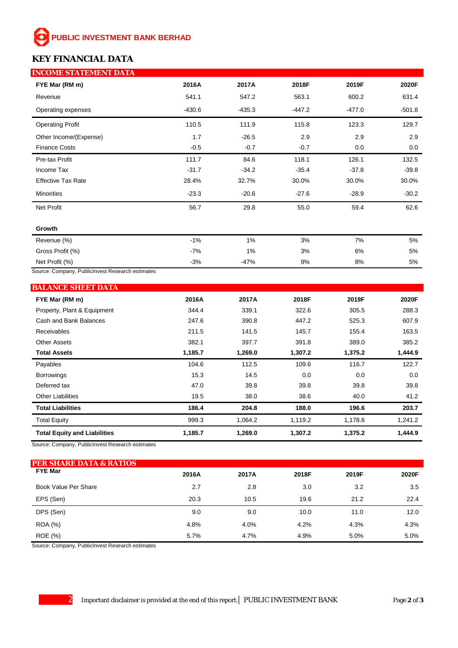# **PUBLIC INVESTMENT BANK BERHAD**

### **KEY FINANCIAL DATA**

| <b>INCOME STATEMENT DATA</b> |          |          |         |          |          |
|------------------------------|----------|----------|---------|----------|----------|
| FYE Mar (RM m)               | 2016A    | 2017A    | 2018F   | 2019F    | 2020F    |
| Revenue                      | 541.1    | 547.2    | 563.1   | 600.2    | 631.4    |
| Operating expenses           | $-430.6$ | $-435.3$ | -447.2  | $-477.0$ | $-501.8$ |
| <b>Operating Profit</b>      | 110.5    | 111.9    | 115.8   | 123.3    | 129.7    |
| Other Income/(Expense)       | 1.7      | $-26.5$  | 2.9     | 2.9      | 2.9      |
| <b>Finance Costs</b>         | $-0.5$   | $-0.7$   | $-0.7$  | 0.0      | 0.0      |
| Pre-tax Profit               | 111.7    | 84.6     | 118.1   | 126.1    | 132.5    |
| Income Tax                   | $-31.7$  | $-34.2$  | $-35.4$ | $-37.8$  | $-39.8$  |
| <b>Effective Tax Rate</b>    | 28.4%    | 32.7%    | 30.0%   | 30.0%    | 30.0%    |
| <b>Minorities</b>            | $-23.3$  | $-20.6$  | $-27.6$ | $-28.9$  | $-30.2$  |
| Net Profit                   | 56.7     | 29.8     | 55.0    | 59.4     | 62.6     |
| Growth                       |          |          |         |          |          |
| Revenue (%)                  | $-1%$    | $1\%$    | 3%      | 7%       | 5%       |
| Gross Profit (%)             | $-7%$    | $1\%$    | 3%      | 6%       | 5%       |
| Net Profit (%)               | $-3%$    | -47%     | 9%      | 8%       | 5%       |

Source: Company, PublicInvest Research estimates

| <b>BALANCE SHEET DATA</b>           |         |         |         |         |         |
|-------------------------------------|---------|---------|---------|---------|---------|
| FYE Mar (RM m)                      | 2016A   | 2017A   | 2018F   | 2019F   | 2020F   |
| Property, Plant & Equipment         | 344.4   | 339.1   | 322.6   | 305.5   | 288.3   |
| Cash and Bank Balances              | 247.6   | 390.8   | 447.2   | 525.3   | 607.9   |
| <b>Receivables</b>                  | 211.5   | 141.5   | 145.7   | 155.4   | 163.5   |
| <b>Other Assets</b>                 | 382.1   | 397.7   | 391.8   | 389.0   | 385.2   |
| <b>Total Assets</b>                 | 1,185.7 | 1,269.0 | 1,307.2 | 1,375.2 | 1,444.9 |
| Payables                            | 104.6   | 112.5   | 109.6   | 116.7   | 122.7   |
| <b>Borrowings</b>                   | 15.3    | 14.5    | 0.0     | 0.0     | 0.0     |
| Deferred tax                        | 47.0    | 39.8    | 39.8    | 39.8    | 39.8    |
| <b>Other Liabilities</b>            | 19.5    | 38.0    | 38.6    | 40.0    | 41.2    |
| <b>Total Liabilities</b>            | 186.4   | 204.8   | 188.0   | 196.6   | 203.7   |
| <b>Total Equity</b>                 | 999.3   | 1,064.2 | 1,119.2 | 1,178.6 | 1,241.2 |
| <b>Total Equity and Liabilities</b> | 1,185.7 | 1,269.0 | 1,307.2 | 1,375.2 | 1,444.9 |

Source: Company, PublicInvest Research estimates

| <b>PER SHARE DATA &amp; RATIOS</b> |       |       |       |       |       |
|------------------------------------|-------|-------|-------|-------|-------|
| <b>FYE Mar</b>                     | 2016A | 2017A | 2018F | 2019F | 2020F |
| Book Value Per Share               | 2.7   | 2.8   | 3.0   | 3.2   | 3.5   |
| EPS (Sen)                          | 20.3  | 10.5  | 19.6  | 21.2  | 22.4  |
| DPS (Sen)                          | 9.0   | 9.0   | 10.0  | 11.0  | 12.0  |
| <b>ROA</b> (%)                     | 4.8%  | 4.0%  | 4.2%  | 4.3%  | 4.3%  |
| ROE (%)                            | 5.7%  | 4.7%  | 4.9%  | 5.0%  | 5.0%  |

Source: Company, PublicInvest Research estimates